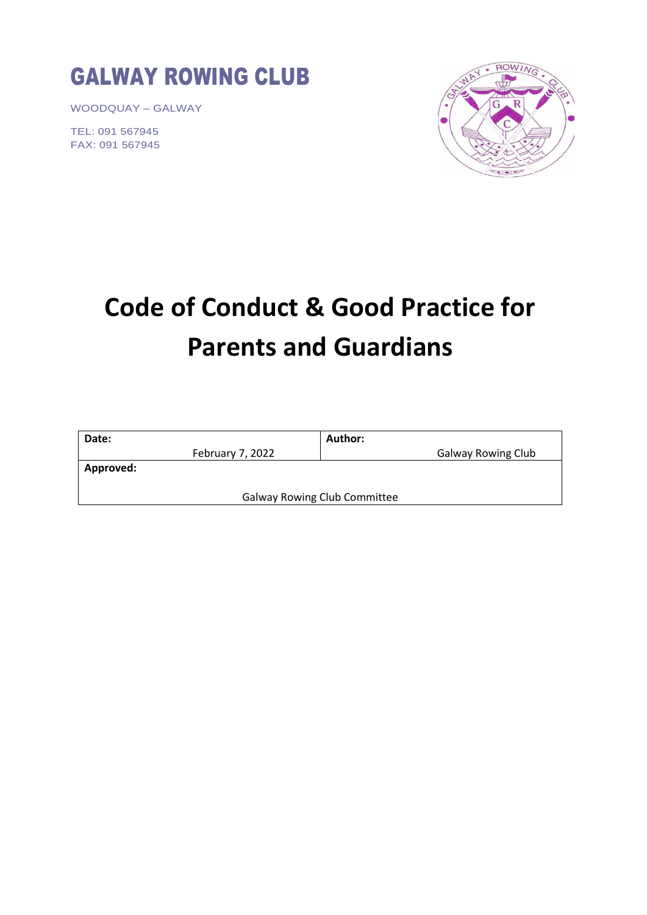## GALWAY ROWING CLUB

WOODQUAY – GALWAY

TEL: 091 567945 FAX: 091 567945



# **Code of Conduct & Good Practice for Parents and Guardians**

| Date:                               |                  | Author:                   |
|-------------------------------------|------------------|---------------------------|
|                                     | February 7, 2022 | <b>Galway Rowing Club</b> |
| Approved:                           |                  |                           |
| <b>Galway Rowing Club Committee</b> |                  |                           |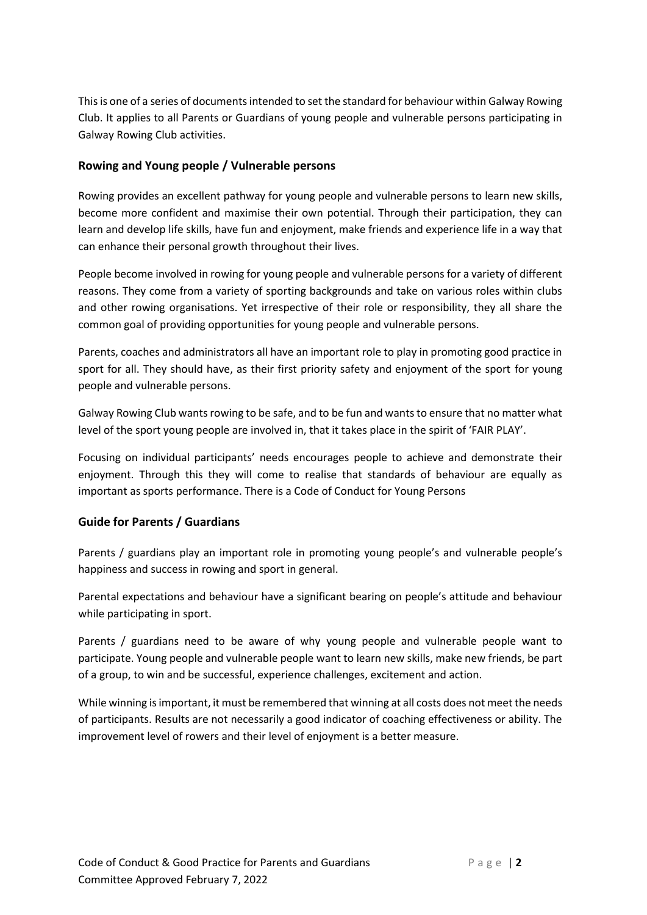This is one of a series of documents intended to set the standard for behaviour within Galway Rowing Club. It applies to all Parents or Guardians of young people and vulnerable persons participating in Galway Rowing Club activities.

#### **Rowing and Young people / Vulnerable persons**

Rowing provides an excellent pathway for young people and vulnerable persons to learn new skills, become more confident and maximise their own potential. Through their participation, they can learn and develop life skills, have fun and enjoyment, make friends and experience life in a way that can enhance their personal growth throughout their lives.

People become involved in rowing for young people and vulnerable persons for a variety of different reasons. They come from a variety of sporting backgrounds and take on various roles within clubs and other rowing organisations. Yet irrespective of their role or responsibility, they all share the common goal of providing opportunities for young people and vulnerable persons.

Parents, coaches and administrators all have an important role to play in promoting good practice in sport for all. They should have, as their first priority safety and enjoyment of the sport for young people and vulnerable persons.

Galway Rowing Club wants rowing to be safe, and to be fun and wants to ensure that no matter what level of the sport young people are involved in, that it takes place in the spirit of 'FAIR PLAY'.

Focusing on individual participants' needs encourages people to achieve and demonstrate their enjoyment. Through this they will come to realise that standards of behaviour are equally as important as sports performance. There is a Code of Conduct for Young Persons

### **Guide for Parents / Guardians**

Parents / guardians play an important role in promoting young people's and vulnerable people's happiness and success in rowing and sport in general.

Parental expectations and behaviour have a significant bearing on people's attitude and behaviour while participating in sport.

Parents / guardians need to be aware of why young people and vulnerable people want to participate. Young people and vulnerable people want to learn new skills, make new friends, be part of a group, to win and be successful, experience challenges, excitement and action.

While winning is important, it must be remembered that winning at all costs does not meet the needs of participants. Results are not necessarily a good indicator of coaching effectiveness or ability. The improvement level of rowers and their level of enjoyment is a better measure.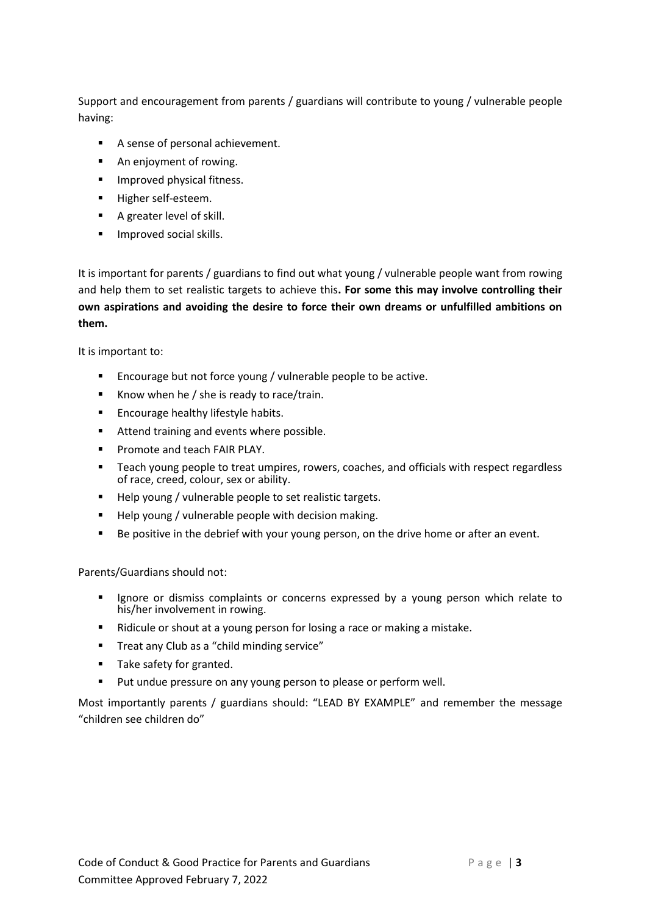Support and encouragement from parents / guardians will contribute to young / vulnerable people having:

- A sense of personal achievement.
- An enjoyment of rowing.
- Improved physical fitness.
- Higher self-esteem.
- A greater level of skill.
- Improved social skills.

It is important for parents / guardians to find out what young / vulnerable people want from rowing and help them to set realistic targets to achieve this**. For some this may involve controlling their own aspirations and avoiding the desire to force their own dreams or unfulfilled ambitions on them.**

It is important to:

- Encourage but not force young / vulnerable people to be active.
- Know when he / she is ready to race/train.
- Encourage healthy lifestyle habits.
- Attend training and events where possible.
- Promote and teach FAIR PLAY.
- Teach young people to treat umpires, rowers, coaches, and officials with respect regardless of race, creed, colour, sex or ability.
- Help young / vulnerable people to set realistic targets.
- Help young / vulnerable people with decision making.
- Be positive in the debrief with your young person, on the drive home or after an event.

Parents/Guardians should not:

- Ignore or dismiss complaints or concerns expressed by a young person which relate to his/her involvement in rowing.
- Ridicule or shout at a young person for losing a race or making a mistake.
- Treat any Club as a "child minding service"
- Take safety for granted.
- Put undue pressure on any young person to please or perform well.

Most importantly parents / guardians should: "LEAD BY EXAMPLE" and remember the message "children see children do"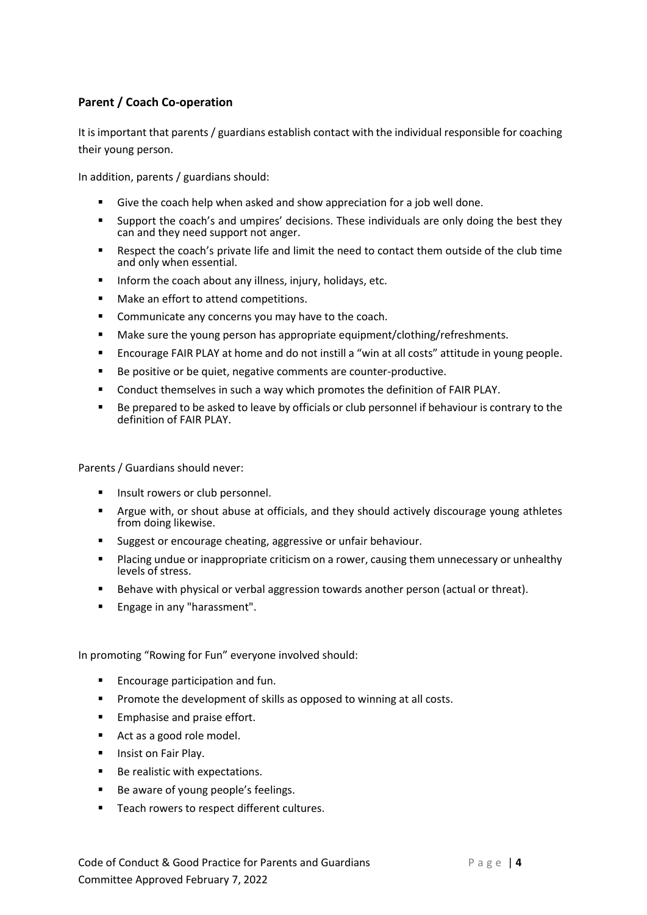### **Parent / Coach Co-operation**

It is important that parents / guardians establish contact with the individual responsible for coaching their young person.

In addition, parents / guardians should:

- Give the coach help when asked and show appreciation for a job well done.
- Support the coach's and umpires' decisions. These individuals are only doing the best they can and they need support not anger.
- Respect the coach's private life and limit the need to contact them outside of the club time and only when essential.
- Inform the coach about any illness, injury, holidays, etc.
- Make an effort to attend competitions.
- Communicate any concerns you may have to the coach.
- Make sure the young person has appropriate equipment/clothing/refreshments.
- Encourage FAIR PLAY at home and do not instill a "win at all costs" attitude in young people.
- Be positive or be quiet, negative comments are counter-productive.
- Conduct themselves in such a way which promotes the definition of FAIR PLAY.
- Be prepared to be asked to leave by officials or club personnel if behaviour is contrary to the definition of FAIR PLAY.

Parents / Guardians should never:

- Insult rowers or club personnel.
- Argue with, or shout abuse at officials, and they should actively discourage young athletes from doing likewise.
- Suggest or encourage cheating, aggressive or unfair behaviour.
- **•** Placing undue or inappropriate criticism on a rower, causing them unnecessary or unhealthy levels of stress.
- Behave with physical or verbal aggression towards another person (actual or threat).
- Engage in any "harassment".

In promoting "Rowing for Fun" everyone involved should:

- Encourage participation and fun.
- Promote the development of skills as opposed to winning at all costs.
- Emphasise and praise effort.
- Act as a good role model.
- **■** Insist on Fair Play.
- Be realistic with expectations.
- Be aware of young people's feelings.
- Teach rowers to respect different cultures.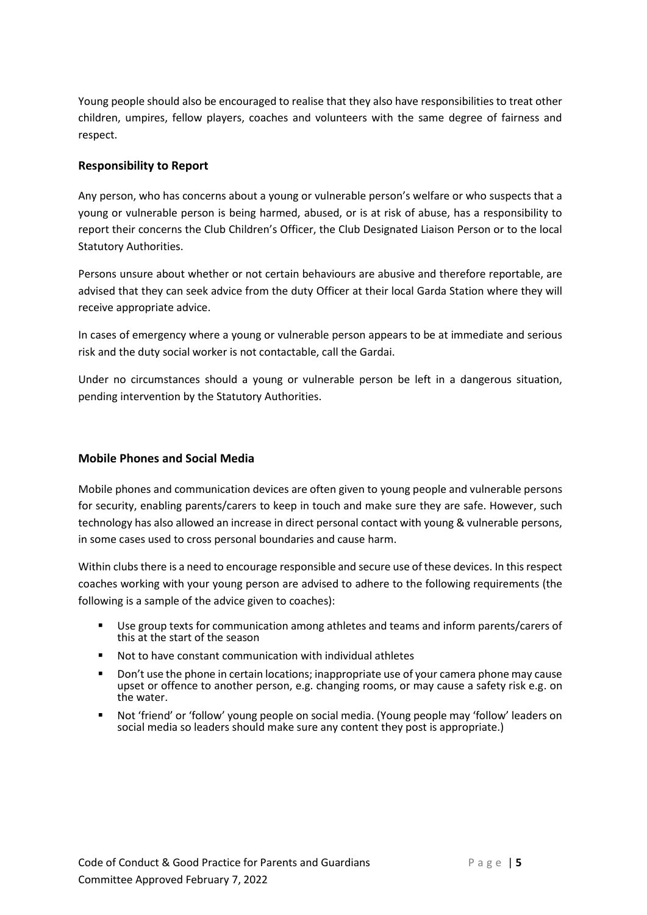Young people should also be encouraged to realise that they also have responsibilities to treat other children, umpires, fellow players, coaches and volunteers with the same degree of fairness and respect.

#### **Responsibility to Report**

Any person, who has concerns about a young or vulnerable person's welfare or who suspects that a young or vulnerable person is being harmed, abused, or is at risk of abuse, has a responsibility to report their concerns the Club Children's Officer, the Club Designated Liaison Person or to the local Statutory Authorities.

Persons unsure about whether or not certain behaviours are abusive and therefore reportable, are advised that they can seek advice from the duty Officer at their local Garda Station where they will receive appropriate advice.

In cases of emergency where a young or vulnerable person appears to be at immediate and serious risk and the duty social worker is not contactable, call the Gardai.

Under no circumstances should a young or vulnerable person be left in a dangerous situation, pending intervention by the Statutory Authorities.

#### **Mobile Phones and Social Media**

Mobile phones and communication devices are often given to young people and vulnerable persons for security, enabling parents/carers to keep in touch and make sure they are safe. However, such technology has also allowed an increase in direct personal contact with young & vulnerable persons, in some cases used to cross personal boundaries and cause harm.

Within clubs there is a need to encourage responsible and secure use of these devices. In this respect coaches working with your young person are advised to adhere to the following requirements (the following is a sample of the advice given to coaches):

- Use group texts for communication among athletes and teams and inform parents/carers of this at the start of the season
- Not to have constant communication with individual athletes
- Don't use the phone in certain locations; inappropriate use of your camera phone may cause upset or offence to another person, e.g. changing rooms, or may cause a safety risk e.g. on the water.
- Not 'friend' or 'follow' young people on social media. (Young people may 'follow' leaders on social media so leaders should make sure any content they post is appropriate.)